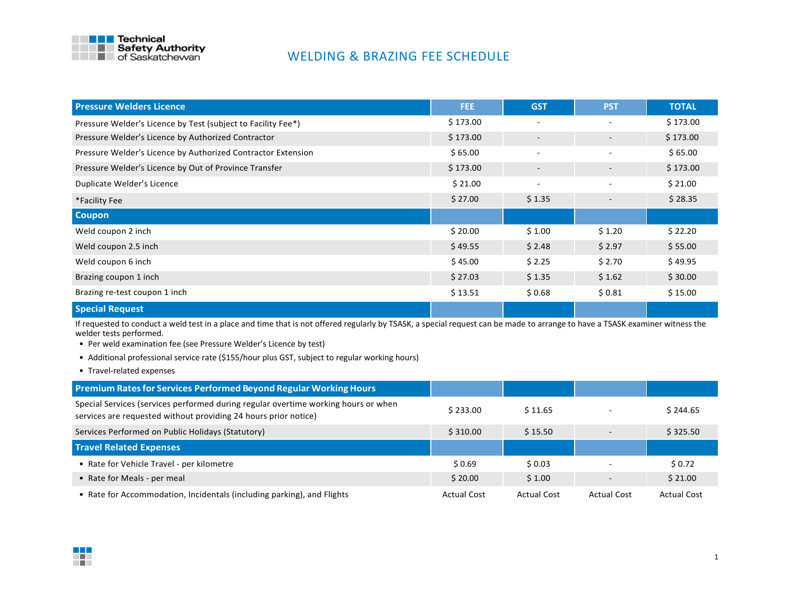

## WELDING & BRAZING FEE SCHEDULE

| <b>Pressure Welders Licence</b>                              | FEE.     | <b>GST</b>               | <b>PST</b>               | <b>TOTAL</b> |
|--------------------------------------------------------------|----------|--------------------------|--------------------------|--------------|
| Pressure Welder's Licence by Test (subject to Facility Fee*) | \$173.00 |                          | $\overline{\phantom{a}}$ | \$173.00     |
| Pressure Welder's Licence by Authorized Contractor           | \$173.00 | $\overline{\phantom{a}}$ | $\sim$                   | \$173.00     |
| Pressure Welder's Licence by Authorized Contractor Extension | \$65.00  | $\overline{\phantom{a}}$ | $\overline{\phantom{a}}$ | \$65.00      |
| Pressure Welder's Licence by Out of Province Transfer        | \$173.00 | $\overline{\phantom{0}}$ | $\overline{\phantom{a}}$ | \$173.00     |
| Duplicate Welder's Licence                                   | \$21.00  |                          |                          | \$21.00      |
| *Facility Fee                                                | \$27.00  | \$1.35                   | $\overline{\phantom{0}}$ | \$28.35      |
| <b>Coupon</b>                                                |          |                          |                          |              |
| Weld coupon 2 inch                                           | \$20.00  | \$1.00                   | \$1.20                   | \$22.20      |
| Weld coupon 2.5 inch                                         | \$49.55  | \$2.48                   | \$2.97                   | \$55.00      |
| Weld coupon 6 inch                                           | \$45.00  | \$2.25                   | \$2.70                   | \$49.95      |
| Brazing coupon 1 inch                                        | \$27.03  | \$1.35                   | \$1.62                   | \$30.00      |
| Brazing re-test coupon 1 inch                                | \$13.51  | \$0.68                   | \$0.81                   | \$15.00      |
| <b>Special Request</b>                                       |          |                          |                          |              |

If requested to conduct a weld test in a place and time that is not offered regularly by TSASK, a special request can be made to arrange to have a TSASK examiner witness the welder tests performed.

- Per weld examination fee (see Pressure Welder's Licence by test)
- Additional professional service rate (\$155/hour plus GST, subject to regular working hours)
- Travel-related expenses

| Premium Rates for Services Performed Beyond Regular Working Hours                                                                                     |          |         |                          |          |
|-------------------------------------------------------------------------------------------------------------------------------------------------------|----------|---------|--------------------------|----------|
| Special Services (services performed during regular overtime working hours or when<br>services are requested without providing 24 hours prior notice) | \$233.00 | \$11.65 |                          | \$244.65 |
| Services Performed on Public Holidays (Statutory)                                                                                                     | \$310.00 | \$15.50 | $\sim$                   | \$325.50 |
| <b>Travel Related Expenses</b>                                                                                                                        |          |         |                          |          |
| • Rate for Vehicle Travel - per kilometre                                                                                                             | \$0.69   | \$0.03  |                          | \$0.72   |
|                                                                                                                                                       |          |         |                          |          |
| • Rate for Meals - per meal                                                                                                                           | \$20.00  | \$1.00  | $\overline{\phantom{a}}$ | \$21.00  |